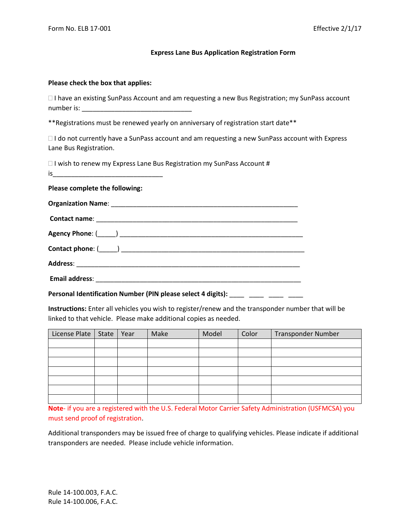## **Express Lane Bus Application Registration Form**

## **Please check the box that applies:**

| $\Box$ I have an existing SunPass Account and am requesting a new Bus Registration; my SunPass account |  |
|--------------------------------------------------------------------------------------------------------|--|
| number is:                                                                                             |  |

\*\*Registrations must be renewed yearly on anniversary of registration start date\*\*

 $\Box$  I do not currently have a SunPass account and am requesting a new SunPass account with Express Lane Bus Registration.

 $\Box$  I wish to renew my Express Lane Bus Registration my SunPass Account #  $is$ 

**Please complete the following:**

Personal Identification Number (PIN please select 4 digits): \_\_\_\_ \_\_\_\_ \_\_\_\_ \_\_\_\_

**Instructions:** Enter all vehicles you wish to register/renew and the transponder number that will be linked to that vehicle. Please make additional copies as needed.

| License Plate   State   Year |  | Make | Model | Color | <b>Transponder Number</b> |
|------------------------------|--|------|-------|-------|---------------------------|
|                              |  |      |       |       |                           |
|                              |  |      |       |       |                           |
|                              |  |      |       |       |                           |
|                              |  |      |       |       |                           |
|                              |  |      |       |       |                           |
|                              |  |      |       |       |                           |
|                              |  |      |       |       |                           |

**Note**- if you are a registered with the U.S. Federal Motor Carrier Safety Administration (USFMCSA) you must send proof of registration.

Additional transponders may be issued free of charge to qualifying vehicles. Please indicate if additional transponders are needed. Please include vehicle information.